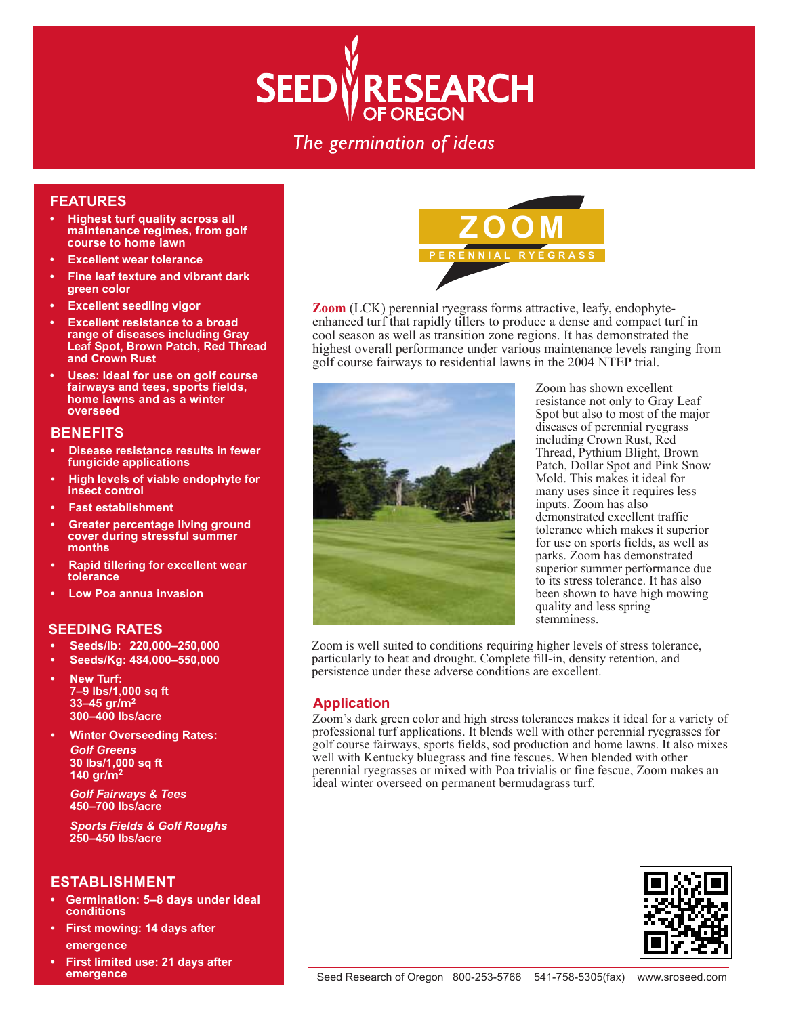

# The germination of ideas

#### **FEATURES**

- **Highest turf quality across all maintenance regimes, from golf course to home lawn**
- **Excellent wear tolerance**
- **Fine leaf texture and vibrant dark green color**
- **Excellent seedling vigor**
- **Excellent resistance to a broad range of diseases including Gray Leaf Spot, Brown Patch, Red Thread and Crown Rust**
- **Uses: Ideal for use on golf course fairways and tees, sports fields, home lawns and as a winter overseed**

## **BENEFITS**

- **Disease resistance results in fewer fungicide applications**
- **High levels of viable endophyte for insect control**
- **Fast establishment**
- **Greater percentage living ground cover during stressful summer months**
- **Rapid tillering for excellent wear tolerance**
- **Low Poa annua invasion**

## **SEEDING RATES**

- **Seeds/lb: 220,000–250,000**
- **Seeds/Kg: 484,000–550,000**
- **New Turf: 7–9 lbs/1,000 sq ft 33–45 gr/m2 300–400 lbs/acre**
- **Winter Overseeding Rates:** *Golf Greens*  **30 lbs/1,000 sq ft 140 gr/m2**

 *Golf Fairways & Tees*  **450–700 lbs/acre**

 *Sports Fields & Golf Roughs*  **250–450 lbs/acre**

#### **ESTABLISHMENT**

- **Germination: 5–8 days under ideal conditions**
- **First mowing: 14 days after emergence**
- **First limited use: 21 days after emergence**



**Zoom** (LCK) perennial ryegrass forms attractive, leafy, endophyteenhanced turf that rapidly tillers to produce a dense and compact turf in cool season as well as transition zone regions. It has demonstrated the highest overall performance under various maintenance levels ranging from golf course fairways to residential lawns in the 2004 NTEP trial.



Zoom has shown excellent resistance not only to Gray Leaf Spot but also to most of the major diseases of perennial ryegrass including Crown Rust, Red Thread, Pythium Blight, Brown Patch, Dollar Spot and Pink Snow Mold. This makes it ideal for many uses since it requires less inputs. Zoom has also demonstrated excellent traffic tolerance which makes it superior for use on sports fields, as well as parks. Zoom has demonstrated superior summer performance due to its stress tolerance. It has also been shown to have high mowing quality and less spring stemminess.

Zoom is well suited to conditions requiring higher levels of stress tolerance, particularly to heat and drought. Complete fill-in, density retention, and persistence under these adverse conditions are excellent.

## **Application**

Zoom's dark green color and high stress tolerances makes it ideal for a variety of professional turf applications. It blends well with other perennial ryegrasses for golf course fairways, sports fields, sod production and home lawns. It also mixes well with Kentucky bluegrass and fine fescues. When blended with other perennial ryegrasses or mixed with Poa trivialis or fine fescue, Zoom makes an ideal winter overseed on permanent bermudagrass turf.